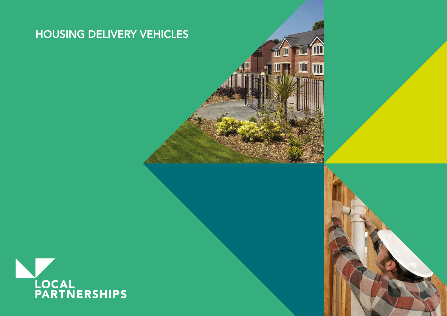# HOUSING DELIVERY VEHICLES

 $\overline{\rm II}$ 

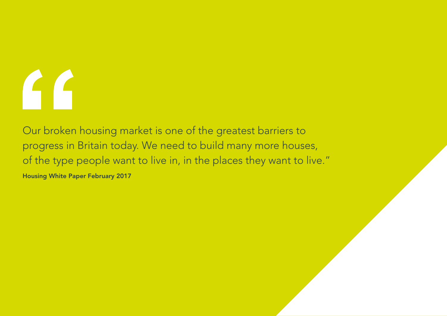# FF

Our broken housing market is one of the greatest barriers to progress in Britain today. We need to build many more houses, of the type people want to live in, in the places they want to live."

Housing White Paper February 2017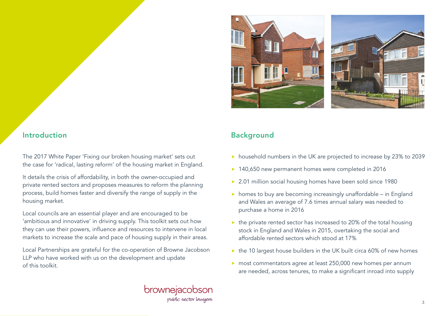

# Introduction **Background**

The 2017 White Paper 'Fixing our broken housing market' sets out the case for 'radical, lasting reform' of the housing market in England.

It details the crisis of affordability, in both the owner-occupied and private rented sectors and proposes measures to reform the planning process, build homes faster and diversify the range of supply in the housing market.

Local councils are an essential player and are encouraged to be 'ambitious and innovative' in driving supply. This toolkit sets out how they can use their powers, influence and resources to intervene in local markets to increase the scale and pace of housing supply in their areas.

Local Partnerships are grateful for the co-operation of Browne Jacobson LLP who have worked with us on the development and update of this toolkit.

# brownejacobson public sector lawyers

- **h** household numbers in the UK are projected to increase by 23% to 2039
- ▶ 140,650 new permanent homes were completed in 2016
- ▶ 2.01 million social housing homes have been sold since 1980
- $\triangleright$  homes to buy are becoming increasingly unaffordable in England and Wales an average of 7.6 times annual salary was needed to purchase a home in 2016
- $\triangleright$  the private rented sector has increased to 20% of the total housing stock in England and Wales in 2015, overtaking the social and affordable rented sectors which stood at 17%
- $\triangleright$  the 10 largest house builders in the UK built circa 60% of new homes
- ▶ most commentators agree at least 250,000 new homes per annum are needed, across tenures, to make a significant inroad into supply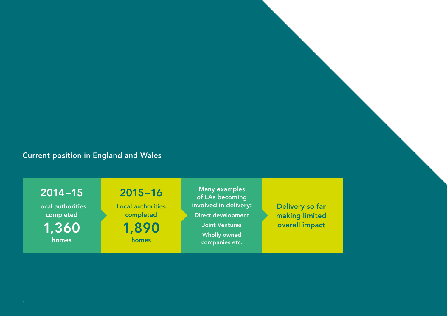# Current position in England and Wales

2014–15

Local authorities completed 1,360 homes

2015–16

Local authorities completed

1,890 homes

Many examples of LAs becoming involved in delivery: Direct development Joint Ventures Wholly owned companies etc.

Delivery so far making limited overall impact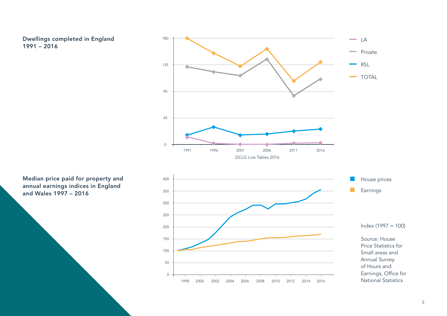Dwellings completed in England 1991 – 2016



Median price paid for property and annual earnings indices in England and Wales 1997 – 2016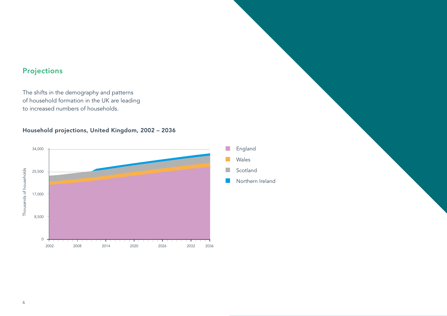# Projections

The shifts in the demography and patterns of household formation in the UK are leading to increased numbers of households.

# Household projections, United Kingdom, 2002 – 2036



England Wales Scotland Northern Ireland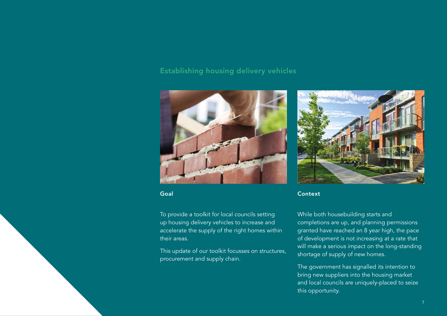# Establishing housing delivery vehicles



To provide a toolkit for local councils setting up housing delivery vehicles to increase and accelerate the supply of the right homes within their areas.

This update of our toolkit focusses on structures, procurement and supply chain.



Goal Context Context Context Context

While both housebuilding starts and completions are up, and planning permissions granted have reached an 8 year high, the pace of development is not increasing at a rate that will make a serious impact on the long-standing shortage of supply of new homes.

The government has signalled its intention to bring new suppliers into the housing market and local councils are uniquely-placed to seize this opportunity.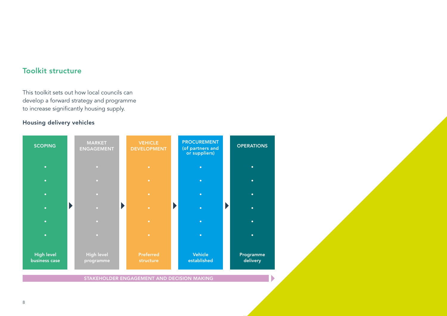# Toolkit structure

This toolkit sets out how local councils can develop a forward strategy and programme to increase significantly housing supply.

# Housing delivery vehicles



STAKEHOLDER ENGAGEMENT AND DECISION MAKING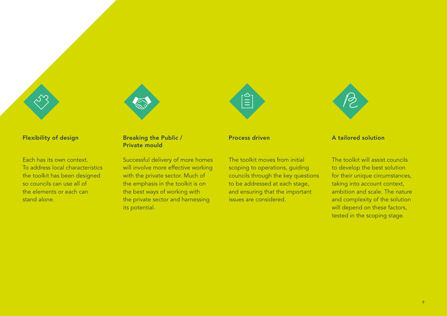

Flexibility of design Flexibility of design



# Flexibility of design Breaking the Public /

Each has its own context. To address local characteristics the toolkit has been designed so councils can use all of the elements or each can stand alone.

# Private mould

Successful delivery of more homes will involve more effective working with the private sector. Much of the emphasis in the toolkit is on the best ways of working with the private sector and harnessing its potential.



The toolkit moves from initial scoping to operations, guiding councils through the key questions to be addressed at each stage, and ensuring that the important issues are considered.



#### Process driven A tailored solution

The toolkit will assist councils to develop the best solution for their unique circumstances, taking into account context, ambition and scale. The nature and complexity of the solution will depend on these factors, tested in the scoping stage.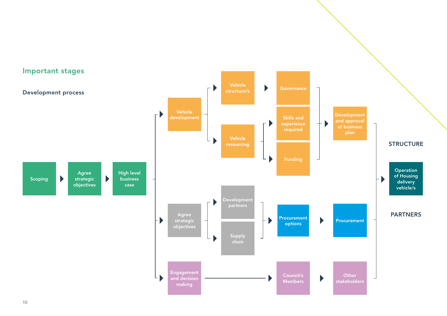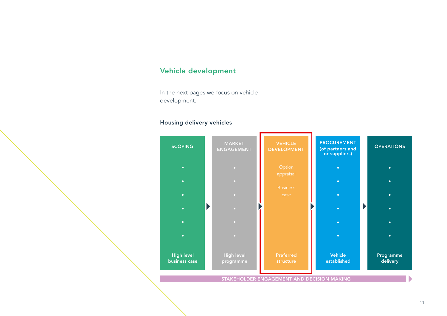# Vehicle development

In the next pages we focus on vehicle development.

# Housing delivery vehicles



STAKEHOLDER ENGAGEMENT AND DECISION MAKING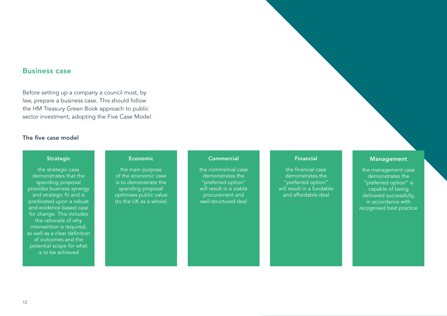### Business case

Before setting up a company a council must, by law, prepare a business case. This should follow the HM Treasury Green Book approach to public sector investment, adopting the Five Case Model.

#### The five case model

#### **Strategic**

the strategic case demonstrates that the spending proposal provides business synergy and strategic fit and is predicated upon a robust and evidence based case for change. This includes the rationale of why intervention is required, as well as a clear definition of outcomes and the potential scope for what is to be achieved

#### Economic

the main purpose of the economic case is to demonstrate the spending proposal optimises public value (to the UK as a whole)

#### **Commercial**

the commercial case demonstrates the "preferred option" will result in a viable procurement and well-structured deal

#### Financial

the financial case demonstrates the "preferred option" will result in a fundable and affordable deal

#### Management

the management case demonstrates the "preferred option" is capable of being delivered successfully, in accordance with recognised best practice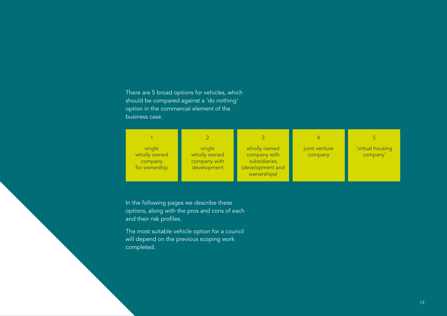# There are 5 broad options for vehicles, which should be compared against a 'do nothing' option in the commercial element of the business case.

| single<br>wholly owned<br>company<br>for ownership | single<br>wholly owned<br>company with<br>development | wholly owned<br>company with<br>subsidiaries<br>(development and<br>ownerships) | joint venture<br>company | 'virtual housing<br>company' |
|----------------------------------------------------|-------------------------------------------------------|---------------------------------------------------------------------------------|--------------------------|------------------------------|

In the following pages we describe these options, along with the pros and cons of each and their risk profiles.

The most suitable vehicle option for a council will depend on the previous scoping work completed.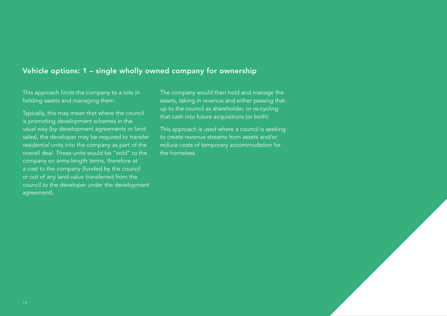# Vehicle options: 1 – single wholly owned company for ownership

This approach limits the company to a role in holding assets and managing them.

Typically, this may mean that where the council is promoting development schemes in the usual way (by development agreements or land sales), the developer may be required to transfer residential units into the company as part of the overall deal. These units would be "sold" to the company on arms-length terms, therefore at a cost to the company (funded by the council or out of any land value transferred from the council to the developer under the development agreement).

The company would then hold and manage the assets, taking in revenue and either passing that up to the council as shareholder, or re-cycling that cash into future acquisitions (or both).

This approach is used where a council is seeking to create revenue streams from assets and/or reduce costs of temporary accommodation for the homeless.

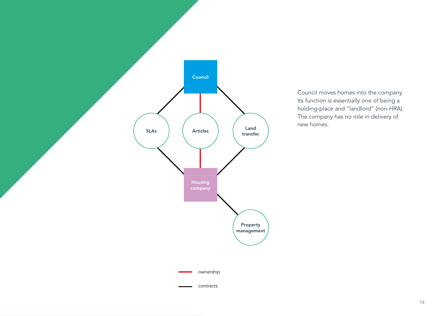

Council moves homes into the company. Its function is essentially one of being a holding-place and "landlord" (non-HRA). The company has no role in delivery of new homes.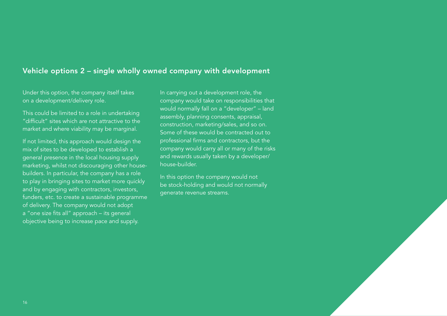# Vehicle options 2 – single wholly owned company with development

Under this option, the company itself takes on a development/delivery role.

This could be limited to a role in undertaking "difficult" sites which are not attractive to the market and where viability may be marginal.

If not limited, this approach would design the mix of sites to be developed to establish a general presence in the local housing supply marketing, whilst not discouraging other housebuilders. In particular, the company has a role to play in bringing sites to market more quickly and by engaging with contractors, investors, funders, etc. to create a sustainable programme of delivery. The company would not adopt a "one size fits all" approach – its general objective being to increase pace and supply.

In carrying out a development role, the company would take on responsibilities that would normally fall on a "developer" – land assembly, planning consents, appraisal, construction, marketing/sales, and so on. Some of these would be contracted out to professional firms and contractors, but the company would carry all or many of the risks and rewards usually taken by a developer/ house-builder.

In this option the company would not be stock-holding and would not normally generate revenue streams.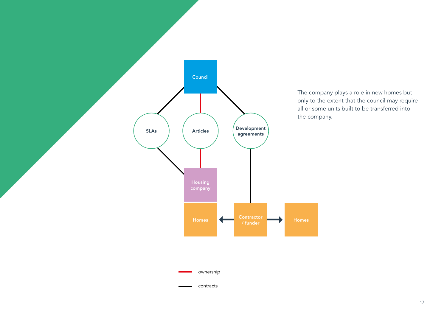

The company plays a role in new homes but only to the extent that the council may require all or some units built to be transferred into the company.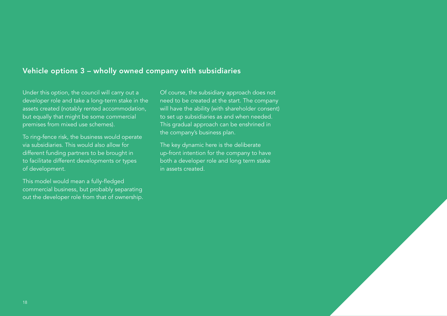# Vehicle options 3 – wholly owned company with subsidiaries

Under this option, the council will carry out a developer role and take a long-term stake in the assets created (notably rented accommodation, but equally that might be some commercial premises from mixed use schemes).

To ring-fence risk, the business would operate via subsidiaries. This would also allow for different funding partners to be brought in to facilitate different developments or types of development.

This model would mean a fully-fledged commercial business, but probably separating out the developer role from that of ownership. Of course, the subsidiary approach does not need to be created at the start. The company will have the ability (with shareholder consent) to set up subsidiaries as and when needed. This gradual approach can be enshrined in the company's business plan.

The key dynamic here is the deliberate up-front intention for the company to have both a developer role and long term stake in assets created.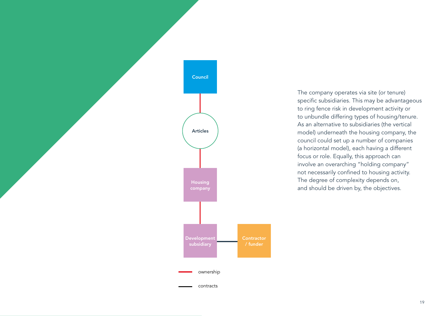

The company operates via site (or tenure) specific subsidiaries. This may be advantageous to ring fence risk in development activity or to unbundle differing types of housing/tenure. As an alternative to subsidiaries (the vertical model) underneath the housing company, the council could set up a number of companies (a horizontal model), each having a different focus or role. Equally, this approach can involve an overarching "holding company" not necessarily confined to housing activity. The degree of complexity depends on, and should be driven by, the objectives.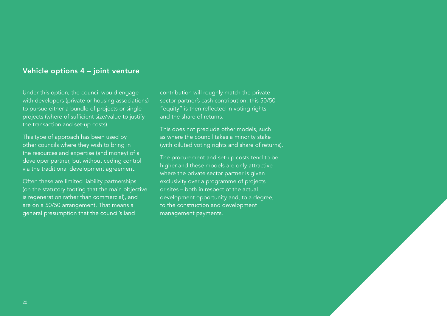# Vehicle options 4 – joint venture

Under this option, the council would engage with developers (private or housing associations) to pursue either a bundle of projects or single projects (where of sufficient size/value to justify the transaction and set-up costs).

This type of approach has been used by other councils where they wish to bring in the resources and expertise (and money) of a developer partner, but without ceding control via the traditional development agreement.

Often these are limited liability partnerships (on the statutory footing that the main objective is regeneration rather than commercial), and are on a 50/50 arrangement. That means a general presumption that the council's land

contribution will roughly match the private sector partner's cash contribution; this 50/50 "equity" is then reflected in voting rights and the share of returns.

This does not preclude other models, such as where the council takes a minority stake (with diluted voting rights and share of returns).

The procurement and set-up costs tend to be higher and these models are only attractive where the private sector partner is given exclusivity over a programme of projects or sites – both in respect of the actual development opportunity and, to a degree, to the construction and development management payments.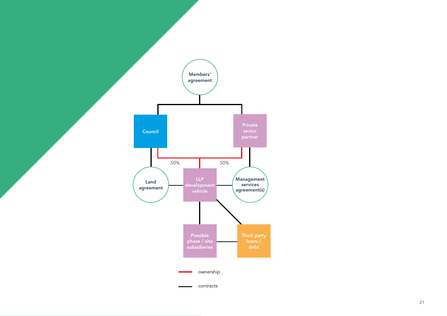

21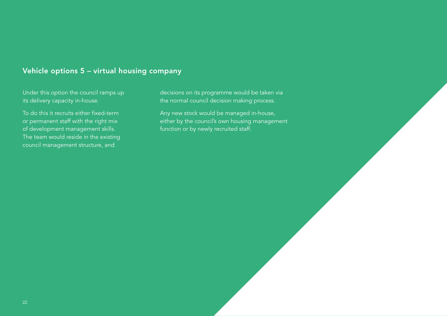# Vehicle options 5 – virtual housing company

Under this option the council ramps up its delivery capacity in-house.

To do this it recruits either fixed-term or permanent staff with the right mix of development management skills. The team would reside in the existing council management structure, and

decisions on its programme would be taken via the normal council decision making process.

Any new stock would be managed in-house, either by the council's own housing management function or by newly recruited staff.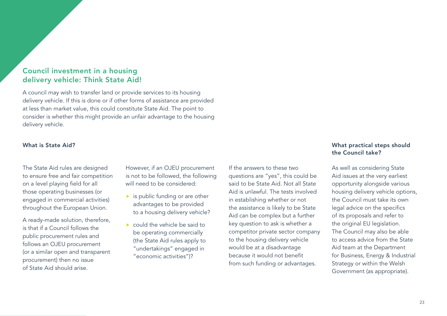# Council investment in a housing delivery vehicle: Think State Aid!

A council may wish to transfer land or provide services to its housing delivery vehicle. If this is done or if other forms of assistance are provided at less than market value, this could constitute State Aid. The point to consider is whether this might provide an unfair advantage to the housing delivery vehicle.

#### What is State Aid?

The State Aid rules are designed to ensure free and fair competition on a level playing field for all those operating businesses (or engaged in commercial activities) throughout the European Union.

A ready-made solution, therefore, is that if a Council follows the public procurement rules and follows an OJEU procurement (or a similar open and transparent procurement) then no issue of State Aid should arise.

However, if an OJEU procurement is not to be followed, the following will need to be considered:

- $\blacktriangleright$  is public funding or are other advantages to be provided to a housing delivery vehicle?
- ▶ could the vehicle be said to be operating commercially (the State Aid rules apply to "undertakings" engaged in "economic activities")?

# If the answers to these two questions are "yes", this could be said to be State Aid. Not all State Aid is unlawful. The tests involved in establishing whether or not the assistance is likely to be State Aid can be complex but a further key question to ask is whether a competitor private sector company to the housing delivery vehicle would be at a disadvantage because it would not benefit from such funding or advantages.

# What practical steps should the Council take?

As well as considering State Aid issues at the very earliest opportunity alongside various housing delivery vehicle options, the Council must take its own legal advice on the specifics of its proposals and refer to the original EU legislation. The Council may also be able to access advice from the State Aid team at the Department for Business, Energy & Industrial Strategy or within the Welsh Government (as appropriate).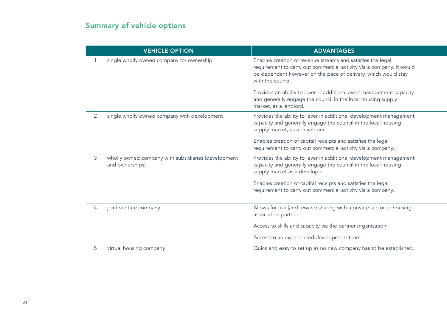# Summary of vehicle options

| <b>VEHICLE OPTION</b>                                                  | <b>ADVANTAGES</b>                                                                                                                                                                                                          |
|------------------------------------------------------------------------|----------------------------------------------------------------------------------------------------------------------------------------------------------------------------------------------------------------------------|
| single wholly owned company for ownership                              | Enables creation of revenue streams and satisfies the legal<br>requirement to carry out commercial activity via a company. It would<br>be dependent however on the pace of delivery, which would stay<br>with the council. |
|                                                                        | Provides an ability to lever in additional asset management capacity<br>and generally engage the council in the local housing supply<br>market, as a landlord.                                                             |
| single wholly owned company with development                           | Provides the ability to lever in additional development management<br>capacity and generally engage the council in the local housing<br>supply market, as a developer.                                                     |
|                                                                        | Enables creation of capital receipts and satisfies the legal<br>requirement to carry out commercial activity via a company.                                                                                                |
| wholly owned company with subsidiaries (development<br>and ownerships) | Provides the ability to lever in additional development management<br>capacity and generally engage the council in the local housing<br>supply market as a developer.                                                      |
|                                                                        | Enables creation of capital receipts and satisfies the legal<br>requirement to carry out commercial activity via a company.                                                                                                |
| joint venture company                                                  | Allows for risk (and reward) sharing with a private sector or housing<br>association partner.                                                                                                                              |
|                                                                        | Access to skills and capacity via the partner organisation.                                                                                                                                                                |
|                                                                        | Access to an experienced development team.                                                                                                                                                                                 |
| virtual housing company                                                | Quick and easy to set up as no new company has to be established.                                                                                                                                                          |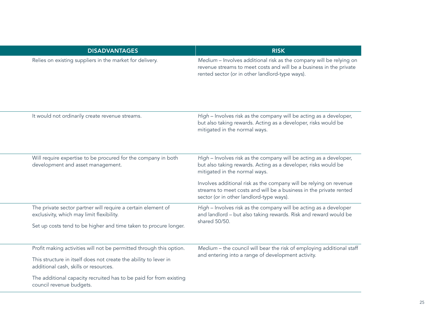| <b>DISADVANTAGES</b>                                                                                      | <b>RISK</b>                                                                                                                                                                                   |  |
|-----------------------------------------------------------------------------------------------------------|-----------------------------------------------------------------------------------------------------------------------------------------------------------------------------------------------|--|
| Relies on existing suppliers in the market for delivery.                                                  | Medium - Involves additional risk as the company will be relying on<br>revenue streams to meet costs and will be a business in the private<br>rented sector (or in other landlord-type ways). |  |
| It would not ordinarily create revenue streams.                                                           | High - Involves risk as the company will be acting as a developer,<br>but also taking rewards. Acting as a developer, risks would be<br>mitigated in the normal ways.                         |  |
| Will require expertise to be procured for the company in both<br>development and asset management.        | High - Involves risk as the company will be acting as a developer,<br>but also taking rewards. Acting as a developer, risks would be<br>mitigated in the normal ways.                         |  |
|                                                                                                           | Involves additional risk as the company will be relying on revenue<br>streams to meet costs and will be a business in the private rented<br>sector (or in other landlord-type ways).          |  |
| The private sector partner will require a certain element of<br>exclusivity, which may limit flexibility. | High - Involves risk as the company will be acting as a developer<br>and landlord - but also taking rewards. Risk and reward would be<br>shared 50/50.                                        |  |
| Set up costs tend to be higher and time taken to procure longer.                                          |                                                                                                                                                                                               |  |
| Profit making activities will not be permitted through this option.                                       | Medium - the council will bear the risk of employing additional staff                                                                                                                         |  |
| This structure in itself does not create the ability to lever in<br>additional cash, skills or resources. | and entering into a range of development activity.                                                                                                                                            |  |
| The additional capacity recruited has to be paid for from existing<br>council revenue budgets.            |                                                                                                                                                                                               |  |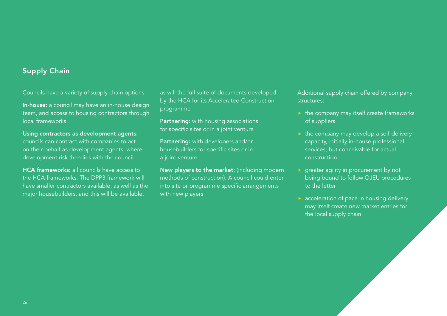# Supply Chain

Councils have a variety of supply chain options:

In-house: a council may have an in-house design team, and access to housing contractors through local frameworks

Using contractors as development agents: councils can contract with companies to act on their behalf as development agents, where development risk then lies with the council

HCA frameworks: all councils have access to the HCA frameworks. The DPP3 framework will have smaller contractors available, as well as the major housebuilders, and this will be available,

as will the full suite of documents developed by the HCA for its Accelerated Construction programme

**Partnering:** with housing associations for specific sites or in a joint venture

Partnering: with developers and/or housebuilders for specific sites or in a joint venture

New players to the market: (including modern methods of construction). A council could enter into site or programme specific arrangements with new players

Additional supply chain offered by company structures:

- $\triangleright$  the company may itself create frameworks of suppliers
- $\blacktriangleright$  the company may develop a self-delivery capacity, initially in-house professional services, but conceivable for actual construction
- **P** greater agility in procurement by not being bound to follow OJEU procedures to the letter
- **acceleration of pace in housing delivery** may itself create new market entries for the local supply chain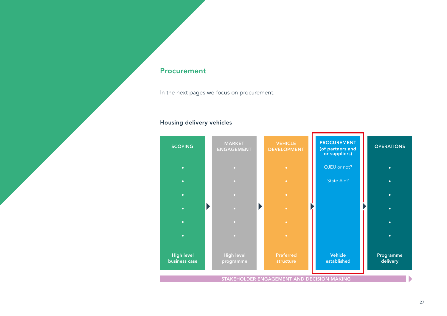# Procurement

In the next pages we focus on procurement.

# Housing delivery vehicles

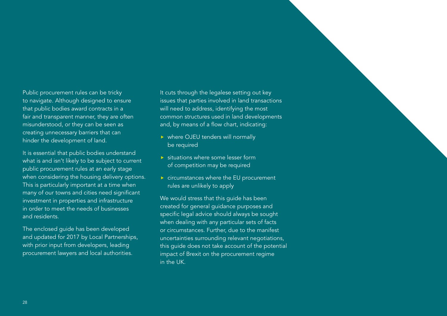# Public procurement rules can be tricky to navigate. Although designed to ensure that public bodies award contracts in a fair and transparent manner, they are often misunderstood, or they can be seen as creating unnecessary barriers that can

hinder the development of land.

It is essential that public bodies understand what is and isn't likely to be subject to current public procurement rules at an early stage when considering the housing delivery options. This is particularly important at a time when many of our towns and cities need significant investment in properties and infrastructure in order to meet the needs of businesses and residents.

The enclosed guide has been developed and updated for 2017 by Local Partnerships, with prior input from developers, leading procurement lawyers and local authorities.

It cuts through the legalese setting out key issues that parties involved in land transactions will need to address, identifying the most common structures used in land developments and, by means of a flow chart, indicating:

- ▶ where OJEU tenders will normally be required
- $\triangleright$  situations where some lesser form of competition may be required
- ▶ circumstances where the EU procurement rules are unlikely to apply

We would stress that this guide has been created for general guidance purposes and specific legal advice should always be sought when dealing with any particular sets of facts or circumstances. Further, due to the manifest uncertainties surrounding relevant negotiations, this guide does not take account of the potential impact of Brexit on the procurement regime in the UK.

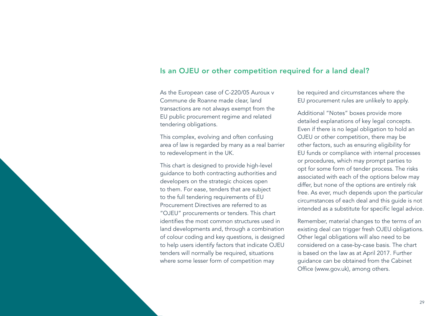# Is an OJEU or other competition required for a land deal?

As the European case of C-220/05 Auroux v Commune de Roanne made clear, land transactions are not always exempt from the EU public procurement regime and related tendering obligations.

This complex, evolving and often confusing area of law is regarded by many as a real barrier to redevelopment in the UK.

This chart is designed to provide high-level guidance to both contracting authorities and developers on the strategic choices open to them. For ease, tenders that are subject to the full tendering requirements of EU Procurement Directives are referred to as "OJEU" procurements or tenders. This chart identifies the most common structures used in land developments and, through a combination of colour coding and key questions, is designed to help users identify factors that indicate OJEU tenders will normally be required, situations where some lesser form of competition may

be required and circumstances where the EU procurement rules are unlikely to apply.

Additional "Notes" boxes provide more detailed explanations of key legal concepts. Even if there is no legal obligation to hold an OJEU or other competition, there may be other factors, such as ensuring eligibility for EU funds or compliance with internal processes or procedures, which may prompt parties to opt for some form of tender process. The risks associated with each of the options below may differ, but none of the options are entirely risk free. As ever, much depends upon the particular circumstances of each deal and this guide is not intended as a substitute for specific legal advice.

Remember, material changes to the terms of an existing deal can trigger fresh OJEU obligations. Other legal obligations will also need to be considered on a case-by-case basis. The chart is based on the law as at April 2017. Further guidance can be obtained from the Cabinet Office ([www.gov.uk](http://www.gov.uk)), among others.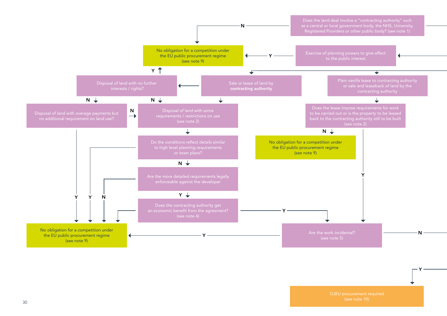

OJEU procurement required

Y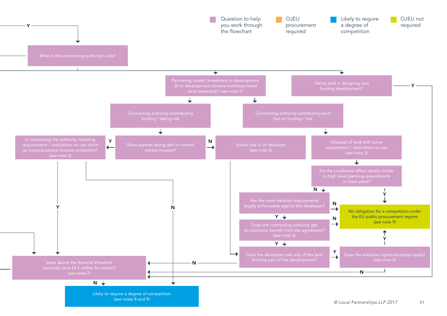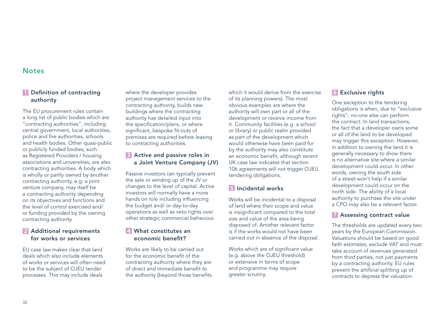### **Notes**

# 1 Definition of contracting authority

The EU procurement rules contain a long list of public bodies which are "contracting authorities", including central government, local authorities, police and fire authorities, schools and health bodies. Other quasi-public or publicly funded bodies, such as Registered Providers / housing associations and universities, are also contracting authorities. A body which is wholly or partly owned by another contracting authority, e.g. a joint venture company, may itself be a contracting authority depending on its objectives and functions and the level of control exercised and/ or funding provided by the owning contracting authority.

#### **2** Additional requirements for works or services

EU case law makes clear that land deals which also include elements of works or services will often need to be the subject of OJEU tender processes. This may include deals

where the developer provides project management services to the contracting authority, builds new buildings where the contracting authority has detailed input into the specification/plans, or where significant, bespoke fit-outs of premises are required before leasing to contracting authorities.

#### **3** Active and passive roles in a Joint Venture Company (JV)

Passive investors can typically prevent the sale or winding up of the JV or changes to the level of capital. Active investors will normally have a more hands on role including influencing the budget and/ or day-to-day operations as well as veto rights over other strategic commercial behaviour.

#### 4 What constitutes an economic benefit?

Works are likely to be carried out for the economic benefit of the contracting authority where they are of direct and immediate benefit to the authority (beyond those benefits which it would derive from the exercise of its planning powers). The most obvious examples are where the authority will own part or all of the development or receive income from it. Community facilities (e.g. a school or library) or public realm provided as part of the development which would otherwise have been paid for by the authority may also constitute an economic benefit, although recent UK case law indicates that section 106 agreements will not trigger OJEU tendering obligations.

# 5 Incidental works

Works will be incidental to a disposal of land where their scope and value is insignificant compared to the total size and value of the area being disposed of. Another relevant factor is if the works would not have been carried out in absence of the disposal.

Works which are of significant value (e.g. above the OJEU threshold) or extensive in terms of scope and programme may require greater scrutiny.

#### **6** Exclusive rights

One exception to the tendering obligations is when, due to "exclusive rights", no-one else can perform the contract. In land transactions, the fact that a developer owns some or all of the land to be developed may trigger this exception. However, in addition to owning the land it is generally necessary to show there is no alternative site where a similar development could occur. In other words, owning the south side of a street won't help if a similar development could occur on the north side. The ability of a local authority to purchase the site under a CPO may also be a relevant factor.

#### 7 Assessing contract value

The thresholds are updated every two years by the European Commission. Valuations should be based on good faith estimates, exclude VAT and must take account of revenues generated from third parties, not just payments by a contracting authority. EU rules prevent the artificial splitting up of contracts to depress the valuation.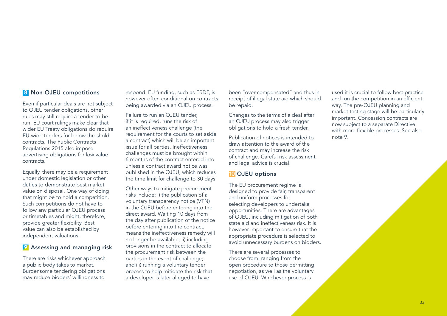#### 8 Non-OJEU competitions

Even if particular deals are not subject to OJEU tender obligations, other rules may still require a tender to be run. EU court rulings make clear that wider EU Treaty obligations do require EU-wide tenders for below threshold contracts. The Public Contracts Regulations 2015 also impose advertising obligations for low value contracts.

Equally, there may be a requirement under domestic legislation or other duties to demonstrate best market value on disposal. One way of doing that might be to hold a competition. Such competitions do not have to follow any particular OJEU process or timetables and might, therefore, provide greater flexibility. Best value can also be established by independent valuations.

#### **9** Assessing and managing risk

There are risks whichever approach a public body takes to market. Burdensome tendering obligations may reduce bidders' willingness to

respond. EU funding, such as ERDF, is however often conditional on contracts being awarded via an OJEU process.

Failure to run an OJEU tender, if it is required, runs the risk of an ineffectiveness challenge (the requirement for the courts to set aside a contract) which will be an important issue for all parties. Ineffectiveness challenges must be brought within 6 months of the contract entered into unless a contract award notice was published in the OJEU, which reduces the time limit for challenge to 30 days.

Other ways to mitigate procurement risks include: i) the publication of a voluntary transparency notice (VTN) in the OJEU before entering into the direct award. Waiting 10 days from the day after publication of the notice before entering into the contract, means the ineffectiveness remedy will no longer be available; ii) including provisions in the contract to allocate the procurement risk between the parties in the event of challenge; and iii) running a voluntary tender process to help mitigate the risk that a developer is later alleged to have

been "over-compensated" and thus in receipt of illegal state aid which should be repaid.

Changes to the terms of a deal after an OJEU process may also trigger obligations to hold a fresh tender.

Publication of notices is intended to draw attention to the award of the contract and may increase the risk of challenge. Careful risk assessment and legal advice is crucial.

#### 10 OJEU options

The EU procurement regime is designed to provide fair, transparent and uniform processes for selecting developers to undertake opportunities. There are advantages of OJEU, including mitigation of both state aid and ineffectiveness risk. It is however important to ensure that the appropriate procedure is selected to avoid unnecessary burdens on bidders.

There are several processes to choose from: ranging from the open procedure to those permitting negotiation, as well as the voluntary use of OJEU. Whichever process is

used it is crucial to follow best practice and run the competition in an efficient way. The pre-OJEU planning and market testing stage will be particularly important. Concession contracts are now subject to a separate Directive with more flexible processes. See also note 9.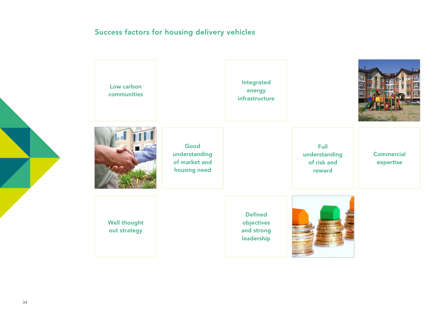# Success factors for housing delivery vehicles

| Low carbon<br>communities           |                                                        | Integrated<br>energy<br>infrastructure                   |                                                |                                |
|-------------------------------------|--------------------------------------------------------|----------------------------------------------------------|------------------------------------------------|--------------------------------|
|                                     | Good<br>understanding<br>of market and<br>housing need |                                                          | Full<br>understanding<br>of risk and<br>reward | <b>Commercial</b><br>expertise |
| <b>Well thought</b><br>out strategy |                                                        | <b>Defined</b><br>objectives<br>and strong<br>leadership |                                                |                                |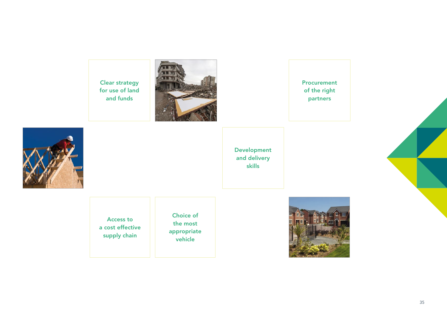Clear strategy for use of land and funds



Procurement of the right partners



Development and delivery skills

Access to a cost effective supply chain

Choice of the most appropriate vehicle



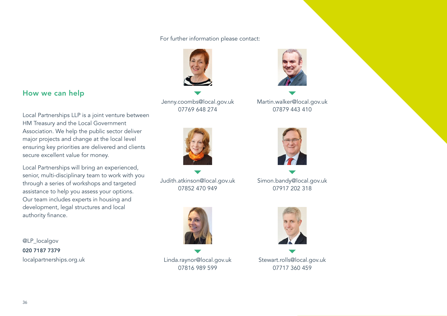For further information please contact:



[Jenny.coombs@local.gov.uk](mailto:Jenny.coombs%40local.gov.uk?subject=) 07769 648 274



[Judith.atkinson@local.gov.uk](mailto:Judith.atkinson%40local.gov.uk%20?subject=) 07852 470 949



[Linda.raynor@local.gov.uk](mailto:Linda.raynor%40local.gov.uk?subject=) 07816 989 599



[Martin.walker@local.gov.uk](mailto:Martin.walker%40local.gov.uk?subject=) 07879 443 410



[Simon.bandy@local.gov.uk](mailto:Simon.bandy%40local.gov.uk?subject=) 07917 202 318



[Stewart.rolls@local.gov.uk](mailto:Stewart.rolls%40local.gov.uk?subject=) 07717 360 459

# How we can help

Local Partnerships LLP is a joint venture between HM Treasury and the Local Government Association. We help the public sector deliver major projects and change at the local level ensuring key priorities are delivered and clients secure excellent value for money.

Local Partnerships will bring an experienced, senior, multi-disciplinary team to work with you through a series of workshops and targeted assistance to help you assess your options. Our team includes experts in housing and development, legal structures and local authority finance.

[@LP\\_localgov](https://twitter.com/LP_localgov?lang=en-gb) 020 7187 7379 [localpartnerships.org.uk](http://localpartnerships.org.uk)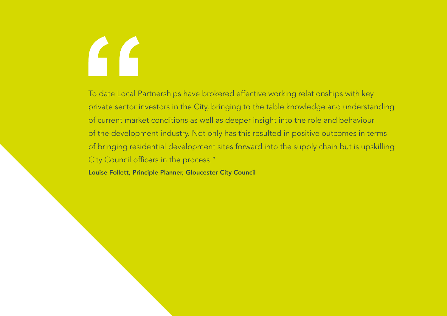# $\Gamma$

To date Local Partnerships have brokered effective working relationships with key private sector investors in the City, bringing to the table knowledge and understanding of current market conditions as well as deeper insight into the role and behaviour of the development industry. Not only has this resulted in positive outcomes in terms of bringing residential development sites forward into the supply chain but is upskilling City Council officers in the process."

Louise Follett, Principle Planner, Gloucester City Council